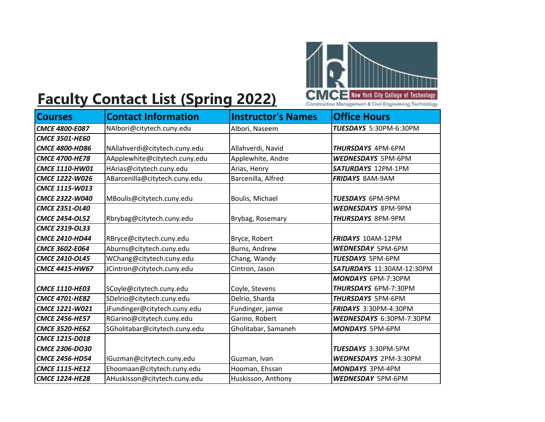

## **Faculty Contact List (Spring 2022)**

| <b>Courses</b>        | <b>Contact Information</b>    | <b>Instructor's Names</b> | <b>Office Hours</b>          |
|-----------------------|-------------------------------|---------------------------|------------------------------|
| <b>CMCE 4800-E087</b> | NAlbori@citytech.cuny.edu     | Albori, Naseem            | TUESDAYS 5:30PM-6:30PM       |
| <b>CMCE 3501-HE60</b> |                               |                           |                              |
| <b>CMCE 4800-HD86</b> | NAllahverdi@citytech.cuny.edu | Allahverdi, Navid         | <b>THURSDAYS 4PM-6PM</b>     |
| <b>CMCE 4700-HE78</b> | AApplewhite@citytech.cuny.edu | Applewhite, Andre         | <b>WEDNESDAYS 5PM-6PM</b>    |
| CMCE 1110-HW01        | HArias@citytech.cuny.edu      | Arias, Henry              | SATURDAYS 12PM-1PM           |
| CMCE 1222-W026        | ABarcenilla@citytech.cuny.edu | Barcenilla, Alfred        | <b>FRIDAYS 8AM-9AM</b>       |
| CMCE 1115-W013        |                               |                           |                              |
| CMCE 2322-W040        | MBoulis@citytech.cuny.edu     | Boulis, Michael           | <b>TUESDAYS 6PM-9PM</b>      |
| CMCE 2351-OL40        |                               |                           | <b>WEDNESDAYS 8PM-9PM</b>    |
| <b>CMCE 2454-OL52</b> | Rbrybag@citytech.cuny.edu     | Brybag, Rosemary          | <b>THURSDAYS 8PM-9PM</b>     |
| <b>CMCE 2319-OL33</b> |                               |                           |                              |
| <b>CMCE 2410-HD44</b> | RBryce@citytech.cuny.edu      | Bryce, Robert             | <b>FRIDAYS 10AM-12PM</b>     |
| <b>CMCE 3602-E064</b> | Aburns@citytech.cuny.edu      | Burns, Andrew             | <b>WEDNESDAY 5PM-6PM</b>     |
| <b>CMCE 2410-OL45</b> | WChang@citytech.cuny.edu      | Chang, Wandy              | TUESDAYS 5PM-6PM             |
| <b>CMCE 4415-HW67</b> | JCintron@citytech.cuny.edu    | Cintron, Jason            | SATURDAYS 11:30AM-12:30PM    |
|                       |                               |                           | MONDAYS 6PM-7:30PM           |
| <b>CMCE 1110-HE03</b> | SCoyle@citytech.cuny.edu      | Coyle, Stevens            | THURSDAYS 6PM-7:30PM         |
| <b>CMCE 4701-HE82</b> | SDelrio@citytech.cuny.edu     | Delrio, Sharda            | <b>THURSDAYS 5PM-6PM</b>     |
| <b>CMCE 1221-W021</b> | JFundinger@citytech.cuny.edu  | Fundinger, jamie          | FRIDAYS 3:30PM-4:30PM        |
| <b>CMCE 2456-HE57</b> | RGarino@citytech.cuny.edu     | Garino, Robert            | WEDNESDAYS 6:30PM-7:30PM     |
| <b>CMCE 3520-HE62</b> | SGholitabar@citytech.cuny.edu | Gholitabar, Samaneh       | <b>MONDAYS 5PM-6PM</b>       |
| <b>CMCE 1215-D018</b> |                               |                           |                              |
| <b>CMCE 2306-DO30</b> |                               |                           | TUESDAYS 3:30PM-5PM          |
| <b>CMCE 2456-HD54</b> | IGuzman@citytech.cuny.edu     | Guzman, Ivan              | <b>WEDNESDAYS 2PM-3:30PM</b> |
| <b>CMCE 1115-HE12</b> | Ehoomaan@citytech.cuny.edu    | Hooman, Ehssan            | <b>MONDAYS 3PM-4PM</b>       |
| <b>CMCE 1224-HE28</b> | AHuskisson@citytech.cuny.edu  | Huskisson, Anthony        | <b>WEDNESDAY 5PM-6PM</b>     |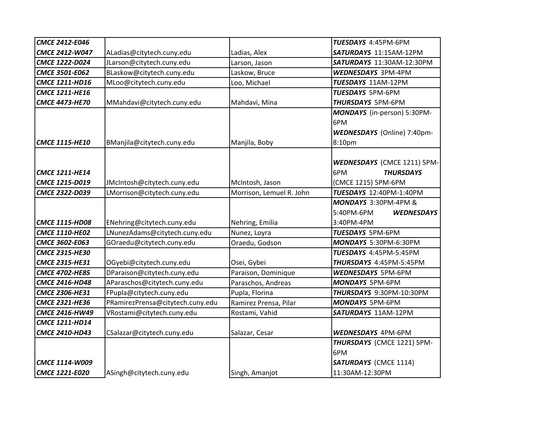| CMCE 2412-E046        |                                  |                          | TUESDAYS 4:45PM-6PM                |
|-----------------------|----------------------------------|--------------------------|------------------------------------|
| <b>CMCE 2412-W047</b> | ALadias@citytech.cuny.edu        | Ladias, Alex             | SATURDAYS 11:15AM-12PM             |
| CMCE 1222-D024        | JLarson@citytech.cuny.edu        | Larson, Jason            | SATURDAYS 11:30AM-12:30PM          |
| CMCE 3501-E062        | BLaskow@citytech.cuny.edu        | Laskow, Bruce            | WEDNESDAYS 3PM-4PM                 |
| CMCE 1211-HD16        | MLoo@citytech.cuny.edu           | Loo, Michael             | <b>TUESDAYS 11AM-12PM</b>          |
| <b>CMCE 1211-HE16</b> |                                  |                          | TUESDAYS 5PM-6PM                   |
| <b>CMCE 4473-HE70</b> | MMahdavi@citytech.cuny.edu       | Mahdavi, Mina            | <b>THURSDAYS 5PM-6PM</b>           |
|                       |                                  |                          | MONDAYS (in-person) 5:30PM-        |
|                       |                                  |                          | 6PM                                |
|                       |                                  |                          | <b>WEDNESDAYS</b> (Online) 7:40pm- |
| <b>CMCE 1115-HE10</b> | BManjila@citytech.cuny.edu       | Manjila, Boby            | 8:10pm                             |
|                       |                                  |                          |                                    |
|                       |                                  |                          | <b>WEDNESDAYS (CMCE 1211) 5PM-</b> |
| <b>CMCE 1211-HE14</b> |                                  |                          | 6PM<br><b>THURSDAYS</b>            |
| CMCE 1215-D019        | JMcIntosh@citytech.cuny.edu      | McIntosh, Jason          | (CMCE 1215) 5PM-6PM                |
| CMCE 2322-D039        | LMorrison@citytech.cuny.edu      | Morrison, Lemuel R. John | TUESDAYS 12:40PM-1:40PM            |
|                       |                                  |                          | MONDAYS 3:30PM-4PM &               |
|                       |                                  |                          | 5:40PM-6PM<br><b>WEDNESDAYS</b>    |
| <b>CMCE 1115-HD08</b> | ENehring@citytech.cuny.edu       | Nehring, Emilia          | 3:40PM-4PM                         |
| <b>CMCE 1110-HE02</b> | LNunezAdams@citytech.cuny.edu    | Nunez, Loyra             | TUESDAYS 5PM-6PM                   |
| CMCE 3602-E063        | GOraedu@citytech.cuny.edu        | Oraedu, Godson           | MONDAYS 5:30PM-6:30PM              |
| <b>CMCE 2315-HE30</b> |                                  |                          | TUESDAYS 4:45PM-5:45PM             |
| <b>CMCE 2315-HE31</b> | OGyebi@citytech.cuny.edu         | Osei, Gybei              | THURSDAYS 4:45PM-5:45PM            |
| <b>CMCE 4702-HE85</b> | DParaison@citytech.cuny.edu      | Paraison, Dominique      | <b>WEDNESDAYS 5PM-6PM</b>          |
| <b>CMCE 2416-HD48</b> | AParaschos@citytech.cuny.edu     | Paraschos, Andreas       | <b>MONDAYS 5PM-6PM</b>             |
| <b>CMCE 2306-HE31</b> | FPupla@citytech.cuny.edu         | Pupla, Florina           | THURSDAYS 9:30PM-10:30PM           |
| <b>CMCE 2321-HE36</b> | PRamirezPrensa@citytech.cuny.edu | Ramirez Prensa, Pilar    | <b>MONDAYS 5PM-6PM</b>             |
| CMCE 2416-HW49        | VRostami@citytech.cuny.edu       | Rostami, Vahid           | SATURDAYS 11AM-12PM                |
| <b>CMCE 1211-HD14</b> |                                  |                          |                                    |
| CMCE 2410-HD43        | CSalazar@citytech.cuny.edu       | Salazar, Cesar           | <b>WEDNESDAYS 4PM-6PM</b>          |
|                       |                                  |                          | THURSDAYS (CMCE 1221) 5PM-         |
|                       |                                  |                          | 6PM                                |
| CMCE 1114-W009        |                                  |                          | <b>SATURDAYS</b> (CMCE 1114)       |
| CMCE 1221-E020        | ASingh@citytech.cuny.edu         | Singh, Amanjot           | 11:30AM-12:30PM                    |